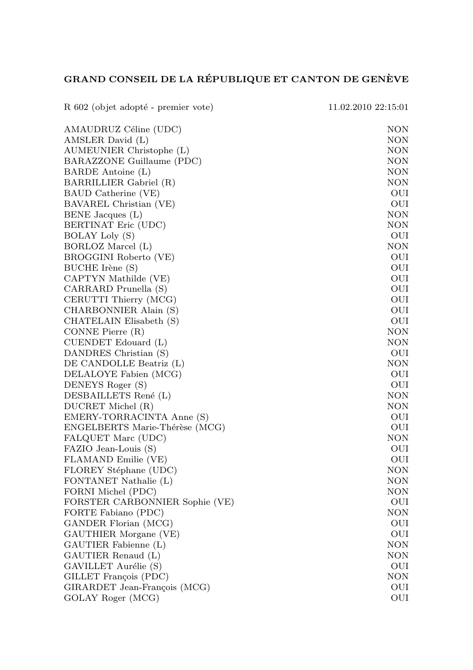## GRAND CONSEIL DE LA RÉPUBLIQUE ET CANTON DE GENÈVE

| R 602 (objet adopté - premier vote) | 11.02.2010 22:15:01 |
|-------------------------------------|---------------------|
| AMAUDRUZ Céline (UDC)               | NON                 |
| AMSLER David (L)                    | NON                 |
| AUMEUNIER Christophe (L)            | NON                 |
| BARAZZONE Guillaume (PDC)           | NON                 |
| BARDE Antoine (L)                   | <b>NON</b>          |
| BARRILLIER Gabriel (R)              | <b>NON</b>          |
| BAUD Catherine (VE)                 | OUI                 |
| BAVAREL Christian (VE)              | OUI                 |
| BENE Jacques (L)                    | NON                 |
| BERTINAT Eric (UDC)                 | NON                 |
| BOLAY Loly (S)                      | OUI                 |
| BORLOZ Marcel (L)                   | <b>NON</b>          |
| BROGGINI Roberto (VE)               | OUI                 |
| BUCHE Irène (S)                     | OUI                 |
| CAPTYN Mathilde (VE)                | OUI                 |
| CARRARD Prunella (S)                | OUI                 |
| CERUTTI Thierry (MCG)               | OUI                 |
| CHARBONNIER Alain (S)               | OUI                 |
| CHATELAIN Elisabeth (S)             | OUI                 |
| CONNE Pierre (R)                    | NON                 |
| CUENDET Edouard (L)                 | NON                 |
| DANDRES Christian (S)               | OUI                 |
| DE CANDOLLE Beatriz (L)             | NON                 |
| DELALOYE Fabien (MCG)               | OUI                 |
| DENEYS Roger (S)                    | OUI                 |
| DESBAILLETS René (L)                | NON                 |
| DUCRET Michel (R)                   | NON                 |
| EMERY-TORRACINTA Anne (S)           | OUI                 |
| ENGELBERTS Marie-Thérèse (MCG)      | OUI                 |
| FALQUET Marc (UDC)                  | NON                 |
| FAZIO Jean-Louis (S)                | OUI                 |
| FLAMAND Emilie (VE)                 | OUI                 |
| FLOREY Stéphane (UDC)               | NON                 |
| FONTANET Nathalie (L)               | <b>NON</b>          |
| FORNI Michel (PDC)                  | <b>NON</b>          |
| FORSTER CARBONNIER Sophie (VE)      | OUI                 |
| FORTE Fabiano (PDC)                 | NON                 |
| GANDER Florian (MCG)                | OUI                 |
| GAUTHIER Morgane (VE)               | OUI                 |
| GAUTIER Fabienne (L)                | <b>NON</b>          |
| GAUTIER Renaud (L)                  | <b>NON</b>          |
| GAVILLET Aurélie (S)                | OUI                 |
| GILLET François (PDC)               | NON                 |
| GIRARDET Jean-François (MCG)        | OUI                 |
| GOLAY Roger (MCG)                   | OUI                 |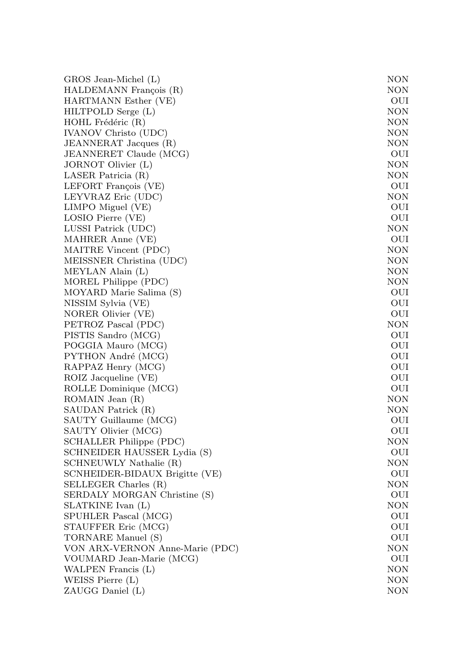| GROS Jean-Michel (L)            | NON        |
|---------------------------------|------------|
| HALDEMANN François (R)          | NON        |
| HARTMANN Esther (VE)            | OUI        |
| HILTPOLD Serge (L)              | NON        |
| HOHL Frédéric (R)               | NON        |
| IVANOV Christo (UDC)            | NON        |
| JEANNERAT Jacques (R)           | NON        |
| JEANNERET Claude (MCG)          | OUI        |
| JORNOT Olivier (L)              | NON        |
| LASER Patricia (R)              | NON        |
| LEFORT François (VE)            | OUI        |
| LEYVRAZ Eric (UDC)              | NON        |
| LIMPO Miguel (VE)               | OUI        |
| LOSIO Pierre (VE)               | OUI        |
| LUSSI Patrick (UDC)             | <b>NON</b> |
| MAHRER Anne (VE)                | OUI        |
| MAITRE Vincent (PDC)            | <b>NON</b> |
| MEISSNER Christina (UDC)        | <b>NON</b> |
| MEYLAN Alain (L)                | <b>NON</b> |
| MOREL Philippe (PDC)            | NON        |
| MOYARD Marie Salima (S)         | OUI        |
| NISSIM Sylvia (VE)              | OUI        |
| NORER Olivier (VE)              | OUI        |
| PETROZ Pascal (PDC)             | <b>NON</b> |
| PISTIS Sandro (MCG)             | OUI        |
| POGGIA Mauro (MCG)              | OUI        |
| PYTHON André (MCG)              | OUI        |
| RAPPAZ Henry (MCG)              | OUI        |
| ROIZ Jacqueline (VE)            | OUI        |
| ROLLE Dominique (MCG)           | OUI        |
| ROMAIN Jean (R)                 | <b>NON</b> |
| SAUDAN Patrick (R)              | <b>NON</b> |
| SAUTY Guillaume (MCG)           | OUI        |
| SAUTY Olivier (MCG)             | OUI        |
| SCHALLER Philippe (PDC)         | <b>NON</b> |
| SCHNEIDER HAUSSER Lydia (S)     | OUI        |
| SCHNEUWLY Nathalie (R)          | <b>NON</b> |
| SCNHEIDER-BIDAUX Brigitte (VE)  | OUI        |
| SELLEGER Charles (R)            | <b>NON</b> |
| SERDALY MORGAN Christine (S)    | OUI        |
| SLATKINE Ivan (L)               | <b>NON</b> |
| SPUHLER Pascal (MCG)            | OUI        |
| STAUFFER Eric (MCG)             | OUI        |
| TORNARE Manuel (S)              | OUI        |
| VON ARX-VERNON Anne-Marie (PDC) | NON        |
| VOUMARD Jean-Marie (MCG)        | OUI        |
| WALPEN Francis (L)              | <b>NON</b> |
| WEISS Pierre (L)                | <b>NON</b> |
| ZAUGG Daniel (L)                | NON        |